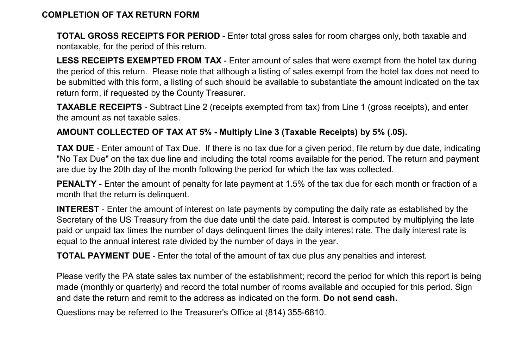## COMPLETION OF TAX RETURN FORM

TOTAL GROSS RECEIPTS FOR PERIOD - Enter total gross sales for room charges only, both taxable and nontaxable, for the period of this return.

LESS RECEIPTS EXEMPTED FROM TAX - Enter amount of sales that were exempt from the hotel tax during the period of this return. Please note that although a listing of sales exempt from the hotel tax does not need to be submitted with this form, a listing of such should be available to substantiate the amount indicated on the tax return form, if requested by the County Treasurer.

TAXABLE RECEIPTS - Subtract Line 2 (receipts exempted from tax) from Line 1 (gross receipts), and enter the amount as net taxable sales.

## AMOUNT COLLECTED OF TAX AT 5% - Multiply Line 3 (Taxable Receipts) by 5% (.05).

TAX DUE - Enter amount of Tax Due. If there is no tax due for a given period, file return by due date, indicating "No Tax Due" on the tax due line and including the total rooms available for the period. The return and payment are due by the 20th day of the month following the period for which the tax was collected.

PENALTY - Enter the amount of penalty for late payment at 1.5% of the tax due for each month or fraction of a month that the return is delinquent.

INTEREST - Enter the amount of interest on late payments by computing the daily rate as established by the Secretary of the US Treasury from the due date until the date paid. Interest is computed by multiplying the late paid or unpaid tax times the number of days delinquent times the daily interest rate. The daily interest rate is equal to the annual interest rate divided by the number of days in the year.

TOTAL PAYMENT DUE - Enter the total of the amount of tax due plus any penalties and interest.

Please verify the PA state sales tax number of the establishment; record the period for which this report is being made (monthly or quarterly) and record the total number of rooms available and occupied for this period. Sign and date the return and remit to the address as indicated on the form. Do not send cash.

Questions may be referred to the Treasurer's Office at (814) 355-6810.